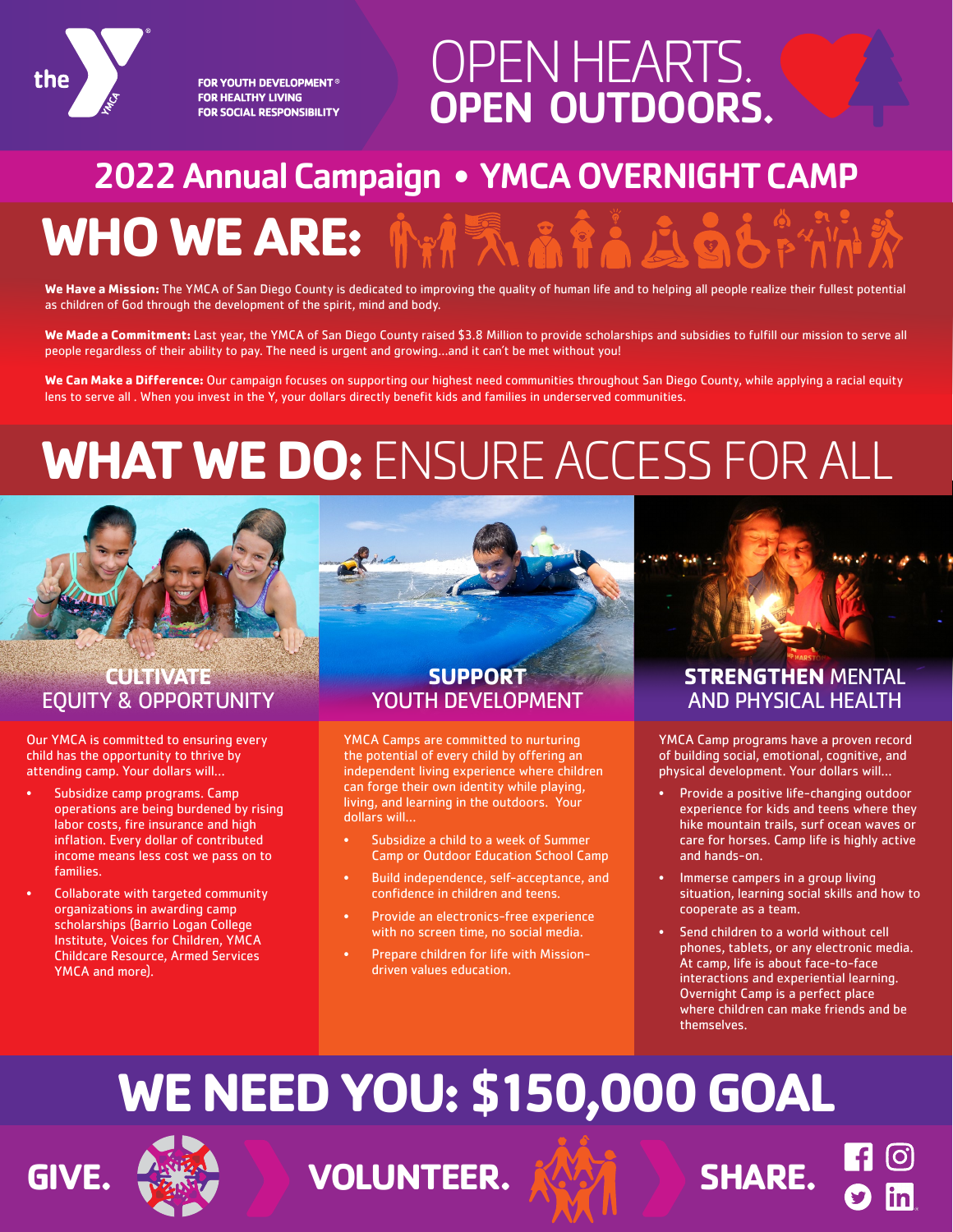

**FOR YOUTH DEVELOPMENT<sup>®</sup> FOR HEALTHY LIVING FOR SOCIAL RESPONSIBILITY** 

## OPEN HEARTS. OPEN OUTDOORS.

## 2022 Annual Campaign • YMCA OVERNIGHT CAMP

# **WHO WE ARE:**

**We Have a Mission:** The YMCA of San Diego County is dedicated to improving the quality of human life and to helping all people realize their fullest potential as children of God through the development of the spirit, mind and body.

**We Made a Commitment:** Last year, the YMCA of San Diego County raised \$3.8 Million to provide scholarships and subsidies to fulfill our mission to serve all people regardless of their ability to pay. The need is urgent and growing…and it can't be met without you!

We Can Make a Difference: Our campaign focuses on supporting our highest need communities throughout San Diego County, while applying a racial equity lens to serve all . When you invest in the Y, your dollars directly benefit kids and families in underserved communities.

# **WHAT WE DO:** ENSURE ACCESS FOR ALL



#### **CULTIVATE** EQUITY & OPPORTUNITY

Our YMCA is committed to ensuring every child has the opportunity to thrive by attending camp. Your dollars will…

- Subsidize camp programs. Camp operations are being burdened by rising labor costs, fire insurance and high inflation. Every dollar of contributed income means less cost we pass on to families.
- Collaborate with targeted community organizations in awarding camp scholarships (Barrio Logan College Institute, Voices for Children, YMCA Childcare Resource, Armed Services YMCA and more).

#### **SUPPORT** YOUTH DEVELOPMENT

YMCA Camps are committed to nurturing the potential of every child by offering an independent living experience where children can forge their own identity while playing, living, and learning in the outdoors. Your dollars will…

- Subsidize a child to a week of Summer Camp or Outdoor Education School Camp
- Build independence, self-acceptance, and confidence in children and teens.
- Provide an electronics-free experience with no screen time, no social media.
- Prepare children for life with Missiondriven values education.

### **STRENGTHEN** MENTAL AND PHYSICAL HEALTH

YMCA Camp programs have a proven record of building social, emotional, cognitive, and physical development. Your dollars will…

- Provide a positive life-changing outdoor experience for kids and teens where they hike mountain trails, surf ocean waves or care for horses. Camp life is highly active and hands-on.
- Immerse campers in a group living situation, learning social skills and how to cooperate as a team.
- Send children to a world without cell phones, tablets, or any electronic media. At camp, life is about face-to-face interactions and experiential learning. Overnight Camp is a perfect place where children can make friends and be themselves.

# **WE NEED YOU: \$150,000 GOAL**



**VOLUNTEER. KAYA SHARE.**